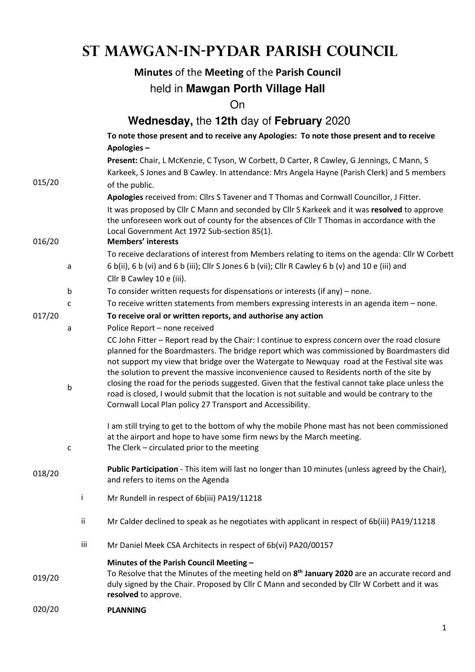# **St Mawgan-in-Pydar Parish Council**

# **Minutes** of the **Meeting** of the **Parish Council**

# held in **Mawgan Porth Village Hall**

On

|        |   |                                                                                          | Wednesday, the 12th day of February 2020                                                                                                                                                                                                                                                                                                                                                                                                                                                                                                                   |  |  |
|--------|---|------------------------------------------------------------------------------------------|------------------------------------------------------------------------------------------------------------------------------------------------------------------------------------------------------------------------------------------------------------------------------------------------------------------------------------------------------------------------------------------------------------------------------------------------------------------------------------------------------------------------------------------------------------|--|--|
|        |   | To note those present and to receive any Apologies: To note those present and to receive |                                                                                                                                                                                                                                                                                                                                                                                                                                                                                                                                                            |  |  |
|        |   |                                                                                          | Apologies-                                                                                                                                                                                                                                                                                                                                                                                                                                                                                                                                                 |  |  |
|        |   |                                                                                          | Present: Chair, L McKenzie, C Tyson, W Corbett, D Carter, R Cawley, G Jennings, C Mann, S                                                                                                                                                                                                                                                                                                                                                                                                                                                                  |  |  |
|        |   |                                                                                          | Karkeek, S Jones and B Cawley. In attendance: Mrs Angela Hayne (Parish Clerk) and 5 members                                                                                                                                                                                                                                                                                                                                                                                                                                                                |  |  |
| 015/20 |   |                                                                                          | of the public.                                                                                                                                                                                                                                                                                                                                                                                                                                                                                                                                             |  |  |
|        |   |                                                                                          | Apologies received from: Cllrs S Tavener and T Thomas and Cornwall Councillor, J Fitter.                                                                                                                                                                                                                                                                                                                                                                                                                                                                   |  |  |
|        |   |                                                                                          | It was proposed by Cllr C Mann and seconded by Cllr S Karkeek and it was resolved to approve<br>the unforeseen work out of county for the absences of CIIr T Thomas in accordance with the<br>Local Government Act 1972 Sub-section 85(1).                                                                                                                                                                                                                                                                                                                 |  |  |
| 016/20 |   |                                                                                          | <b>Members' interests</b>                                                                                                                                                                                                                                                                                                                                                                                                                                                                                                                                  |  |  |
|        |   |                                                                                          | To receive declarations of interest from Members relating to items on the agenda: Cllr W Corbett                                                                                                                                                                                                                                                                                                                                                                                                                                                           |  |  |
|        | a |                                                                                          | 6 b(ii), 6 b (vi) and 6 b (iii); Cllr S Jones 6 b (vii); Cllr R Cawley 6 b (v) and 10 e (iii) and                                                                                                                                                                                                                                                                                                                                                                                                                                                          |  |  |
|        |   |                                                                                          | Cllr B Cawley 10 e (iii).                                                                                                                                                                                                                                                                                                                                                                                                                                                                                                                                  |  |  |
|        | b |                                                                                          | To consider written requests for dispensations or interests (if any) $-$ none.                                                                                                                                                                                                                                                                                                                                                                                                                                                                             |  |  |
| 017/20 | C |                                                                                          | To receive written statements from members expressing interests in an agenda item - none.                                                                                                                                                                                                                                                                                                                                                                                                                                                                  |  |  |
|        |   |                                                                                          | To receive oral or written reports, and authorise any action                                                                                                                                                                                                                                                                                                                                                                                                                                                                                               |  |  |
|        | a |                                                                                          | Police Report - none received<br>CC John Fitter - Report read by the Chair: I continue to express concern over the road closure                                                                                                                                                                                                                                                                                                                                                                                                                            |  |  |
|        | b |                                                                                          | planned for the Boardmasters. The bridge report which was commissioned by Boardmasters did<br>not support my view that bridge over the Watergate to Newquay road at the Festival site was<br>the solution to prevent the massive inconvenience caused to Residents north of the site by<br>closing the road for the periods suggested. Given that the festival cannot take place unless the<br>road is closed, I would submit that the location is not suitable and would be contrary to the<br>Cornwall Local Plan policy 27 Transport and Accessibility. |  |  |
|        | c |                                                                                          | I am still trying to get to the bottom of why the mobile Phone mast has not been commissioned<br>at the airport and hope to have some firm news by the March meeting.<br>The Clerk - circulated prior to the meeting                                                                                                                                                                                                                                                                                                                                       |  |  |
| 018/20 |   |                                                                                          | Public Participation - This item will last no longer than 10 minutes (unless agreed by the Chair),<br>and refers to items on the Agenda                                                                                                                                                                                                                                                                                                                                                                                                                    |  |  |
|        |   | Ĭ.                                                                                       | Mr Rundell in respect of 6b(iii) PA19/11218                                                                                                                                                                                                                                                                                                                                                                                                                                                                                                                |  |  |
|        |   | ij.                                                                                      | Mr Calder declined to speak as he negotiates with applicant in respect of 6b(iii) PA19/11218                                                                                                                                                                                                                                                                                                                                                                                                                                                               |  |  |
|        |   | iii                                                                                      | Mr Daniel Meek CSA Architects in respect of 6b(vi) PA20/00157                                                                                                                                                                                                                                                                                                                                                                                                                                                                                              |  |  |
| 019/20 |   |                                                                                          | Minutes of the Parish Council Meeting -<br>To Resolve that the Minutes of the meeting held on 8 <sup>th</sup> January 2020 are an accurate record and<br>duly signed by the Chair. Proposed by Cllr C Mann and seconded by Cllr W Corbett and it was<br>resolved to approve.                                                                                                                                                                                                                                                                               |  |  |
| 020/20 |   |                                                                                          | <b>PLANNING</b>                                                                                                                                                                                                                                                                                                                                                                                                                                                                                                                                            |  |  |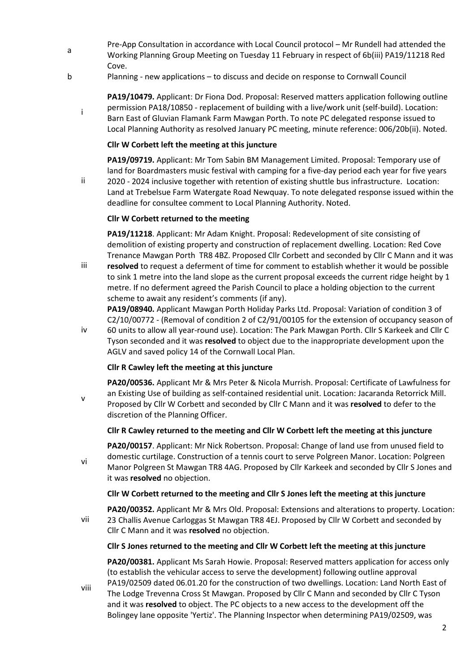- a Pre-App Consultation in accordance with Local Council protocol – Mr Rundell had attended the Working Planning Group Meeting on Tuesday 11 February in respect of 6b(iii) PA19/11218 Red Cove.
- b Planning new applications to discuss and decide on response to Cornwall Council

**PA19/10479.** Applicant: Dr Fiona Dod. Proposal: Reserved matters application following outline permission PA18/10850 - replacement of building with a live/work unit (self-build). Location: Barn East of Gluvian Flamank Farm Mawgan Porth. To note PC delegated response issued to Local Planning Authority as resolved January PC meeting, minute reference: 006/20b(ii). Noted.

#### **Cllr W Corbett left the meeting at this juncture**

i

v

**PA19/09719.** Applicant: Mr Tom Sabin BM Management Limited. Proposal: Temporary use of land for Boardmasters music festival with camping for a five-day period each year for five years

ii 2020 - 2024 inclusive together with retention of existing shuttle bus infrastructure. Location: Land at Trebelsue Farm Watergate Road Newquay. To note delegated response issued within the deadline for consultee comment to Local Planning Authority. Noted.

### **Cllr W Corbett returned to the meeting**

**PA19/11218**. Applicant: Mr Adam Knight. Proposal: Redevelopment of site consisting of demolition of existing property and construction of replacement dwelling. Location: Red Cove Trenance Mawgan Porth TR8 4BZ. Proposed Cllr Corbett and seconded by Cllr C Mann and it was

iii **resolved** to request a deferment of time for comment to establish whether it would be possible to sink 1 metre into the land slope as the current proposal exceeds the current ridge height by 1 metre. If no deferment agreed the Parish Council to place a holding objection to the current scheme to await any resident's comments (if any).

**PA19/08940.** Applicant Mawgan Porth Holiday Parks Ltd. Proposal: Variation of condition 3 of C2/10/00772 - (Removal of condition 2 of C2/91/00105 for the extension of occupancy season of 60 units to allow all year-round use). Location: The Park Mawgan Porth. Cllr S Karkeek and Cllr C

iv Tyson seconded and it was **resolved** to object due to the inappropriate development upon the AGLV and saved policy 14 of the Cornwall Local Plan.

## **Cllr R Cawley left the meeting at this juncture**

**PA20/00536.** Applicant Mr & Mrs Peter & Nicola Murrish. Proposal: Certificate of Lawfulness for an Existing Use of building as self-contained residential unit. Location: Jacaranda Retorrick Mill. Proposed by Cllr W Corbett and seconded by Cllr C Mann and it was **resolved** to defer to the discretion of the Planning Officer.

#### **Cllr R Cawley returned to the meeting and Cllr W Corbett left the meeting at this juncture**

vi **PA20/00157**. Applicant: Mr Nick Robertson. Proposal: Change of land use from unused field to domestic curtilage. Construction of a tennis court to serve Polgreen Manor. Location: Polgreen Manor Polgreen St Mawgan TR8 4AG. Proposed by Cllr Karkeek and seconded by Cllr S Jones and it was **resolved** no objection.

#### **Cllr W Corbett returned to the meeting and Cllr S Jones left the meeting at this juncture**

vii **PA20/00352.** Applicant Mr & Mrs Old. Proposal: Extensions and alterations to property. Location: 23 Challis Avenue Carloggas St Mawgan TR8 4EJ. Proposed by Cllr W Corbett and seconded by Cllr C Mann and it was **resolved** no objection.

#### **Cllr S Jones returned to the meeting and Cllr W Corbett left the meeting at this juncture**

**PA20/00381.** Applicant Ms Sarah Howie. Proposal: Reserved matters application for access only (to establish the vehicular access to serve the development) following outline approval PA19/02509 dated 06.01.20 for the construction of two dwellings. Location: Land North East of

viii The Lodge Trevenna Cross St Mawgan. Proposed by Cllr C Mann and seconded by Cllr C Tyson and it was **resolved** to object. The PC objects to a new access to the development off the Bolingey lane opposite 'Yertiz'. The Planning Inspector when determining PA19/02509, was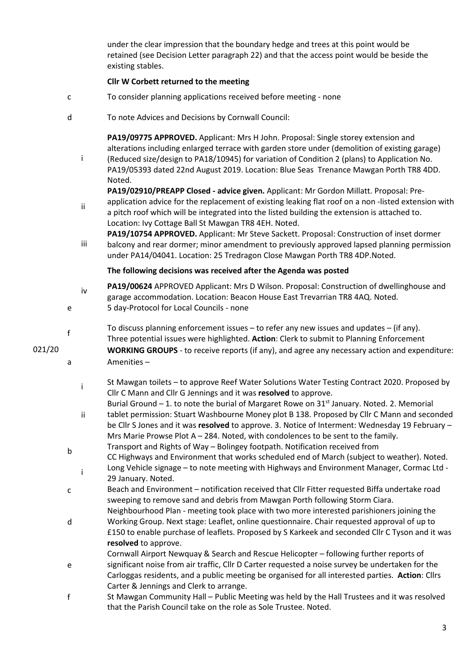under the clear impression that the boundary hedge and trees at this point would be retained (see Decision Letter paragraph 22) and that the access point would be beside the existing stables.

### **Cllr W Corbett returned to the meeting**

- c To consider planning applications received before meeting none
- d To note Advices and Decisions by Cornwall Council:

**PA19/09775 APPROVED.** Applicant: Mrs H John. Proposal: Single storey extension and alterations including enlarged terrace with garden store under (demolition of existing garage) (Reduced size/design to PA18/10945) for variation of Condition 2 (plans) to Application No. PA19/05393 dated 22nd August 2019. Location: Blue Seas Trenance Mawgan Porth TR8 4DD. Noted.

**PA19/02910/PREAPP Closed - advice given.** Applicant: Mr Gordon Millatt. Proposal: Pre-

ii application advice for the replacement of existing leaking flat roof on a non -listed extension with a pitch roof which will be integrated into the listed building the extension is attached to. Location: Ivy Cottage Ball St Mawgan TR8 4EH. Noted.

iii **PA19/10754 APPROVED.** Applicant: Mr Steve Sackett. Proposal: Construction of inset dormer balcony and rear dormer; minor amendment to previously approved lapsed planning permission under PA14/04041. Location: 25 Tredragon Close Mawgan Porth TR8 4DP.Noted.

#### **The following decisions was received after the Agenda was posted**

- iv **PA19/00624** APPROVED Applicant: Mrs D Wilson. Proposal: Construction of dwellinghouse and garage accommodation. Location: Beacon House East Trevarrian TR8 4AQ. Noted. e 5 day-Protocol for Local Councils - none
	-
- $f$  To discuss planning enforcement issues to refer any new issues and updates (if any). Three potential issues were highlighted. **Action**: Clerk to submit to Planning Enforcement
- 021/20 **WORKING GROUPS** to receive reports (if any), and agree any necessary action and expenditure: a Amenities –
	- $\frac{1}{1}$  St Mawgan toilets to approve Reef Water Solutions Water Testing Contract 2020. Proposed by Cllr C Mann and Cllr G Jennings and it was **resolved** to approve.
	- ii Burial Ground – 1. to note the burial of Margaret Rowe on  $31<sup>st</sup>$  January. Noted. 2. Memorial tablet permission: Stuart Washbourne Money plot B 138. Proposed by Cllr C Mann and seconded
	- be Cllr S Jones and it was **resolved** to approve. 3. Notice of Interment: Wednesday 19 February Mrs Marie Prowse Plot A – 284. Noted, with condolences to be sent to the family.  $b$  Transport and Rights of Way – Bolingey footpath. Notification received from
	- CC Highways and Environment that works scheduled end of March (subject to weather). Noted.  $\frac{1}{1}$  Long Vehicle signage – to note meeting with Highways and Environment Manager, Cormac Ltd -29 January. Noted.
	- c Beach and Environment notification received that Cllr Fitter requested Biffa undertake road sweeping to remove sand and debris from Mawgan Porth following Storm Ciara. Neighbourhood Plan - meeting took place with two more interested parishioners joining the
	- d Working Group. Next stage: Leaflet, online questionnaire. Chair requested approval of up to £150 to enable purchase of leaflets. Proposed by S Karkeek and seconded Cllr C Tyson and it was **resolved** to approve.

Cornwall Airport Newquay & Search and Rescue Helicopter – following further reports of

- e significant noise from air traffic, Cllr D Carter requested a noise survey be undertaken for the Carloggas residents, and a public meeting be organised for all interested parties. **Action**: Cllrs Carter & Jennings and Clerk to arrange.
- f St Mawgan Community Hall Public Meeting was held by the Hall Trustees and it was resolved that the Parish Council take on the role as Sole Trustee. Noted.

i

3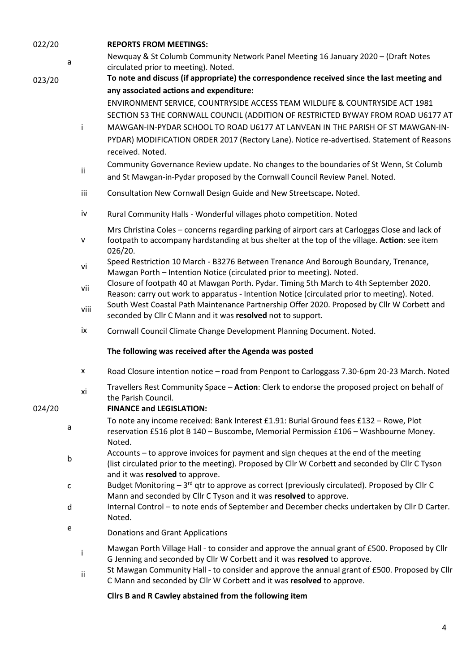| 022/20 |   |          | <b>REPORTS FROM MEETINGS:</b>                                                                                                                                                                                                                                               |
|--------|---|----------|-----------------------------------------------------------------------------------------------------------------------------------------------------------------------------------------------------------------------------------------------------------------------------|
|        | a |          | Newquay & St Columb Community Network Panel Meeting 16 January 2020 - (Draft Notes<br>circulated prior to meeting). Noted.                                                                                                                                                  |
| 023/20 |   |          | To note and discuss (if appropriate) the correspondence received since the last meeting and                                                                                                                                                                                 |
|        |   |          | any associated actions and expenditure:                                                                                                                                                                                                                                     |
|        |   |          | ENVIRONMENT SERVICE, COUNTRYSIDE ACCESS TEAM WILDLIFE & COUNTRYSIDE ACT 1981<br>SECTION 53 THE CORNWALL COUNCIL (ADDITION OF RESTRICTED BYWAY FROM ROAD U6177 AT                                                                                                            |
|        |   | i.       | MAWGAN-IN-PYDAR SCHOOL TO ROAD U6177 AT LANVEAN IN THE PARISH OF ST MAWGAN-IN-<br>PYDAR) MODIFICATION ORDER 2017 (Rectory Lane). Notice re-advertised. Statement of Reasons<br>received. Noted.                                                                             |
|        |   | ii       | Community Governance Review update. No changes to the boundaries of St Wenn, St Columb<br>and St Mawgan-in-Pydar proposed by the Cornwall Council Review Panel. Noted.                                                                                                      |
|        |   | iii      | Consultation New Cornwall Design Guide and New Streetscape. Noted.                                                                                                                                                                                                          |
|        |   | iv       | Rural Community Halls - Wonderful villages photo competition. Noted                                                                                                                                                                                                         |
|        |   | v        | Mrs Christina Coles - concerns regarding parking of airport cars at Carloggas Close and lack of<br>footpath to accompany hardstanding at bus shelter at the top of the village. Action: see item<br>026/20.                                                                 |
|        |   | vi       | Speed Restriction 10 March - B3276 Between Trenance And Borough Boundary, Trenance,<br>Mawgan Porth - Intention Notice (circulated prior to meeting). Noted.                                                                                                                |
|        |   | vii      | Closure of footpath 40 at Mawgan Porth. Pydar. Timing 5th March to 4th September 2020.<br>Reason: carry out work to apparatus - Intention Notice (circulated prior to meeting). Noted.                                                                                      |
|        |   | viii     | South West Coastal Path Maintenance Partnership Offer 2020. Proposed by Cllr W Corbett and<br>seconded by Cllr C Mann and it was resolved not to support.                                                                                                                   |
|        |   | ix       | Cornwall Council Climate Change Development Planning Document. Noted.                                                                                                                                                                                                       |
|        |   |          | The following was received after the Agenda was posted                                                                                                                                                                                                                      |
|        |   | X        | Road Closure intention notice - road from Penpont to Carloggass 7.30-6pm 20-23 March. Noted                                                                                                                                                                                 |
| 024/20 |   | xi       | Travellers Rest Community Space - Action: Clerk to endorse the proposed project on behalf of<br>the Parish Council.<br><b>FINANCE and LEGISLATION:</b>                                                                                                                      |
|        | a |          | To note any income received: Bank Interest £1.91: Burial Ground fees £132 - Rowe, Plot<br>reservation £516 plot B 140 - Buscombe, Memorial Permission £106 - Washbourne Money.<br>Noted.                                                                                    |
|        | b |          | Accounts – to approve invoices for payment and sign cheques at the end of the meeting<br>(list circulated prior to the meeting). Proposed by Cllr W Corbett and seconded by Cllr C Tyson<br>and it was resolved to approve.                                                 |
|        | с |          | Budget Monitoring - 3 <sup>rd</sup> qtr to approve as correct (previously circulated). Proposed by Cllr C<br>Mann and seconded by Cllr C Tyson and it was resolved to approve.                                                                                              |
|        | d |          | Internal Control - to note ends of September and December checks undertaken by Cllr D Carter.<br>Noted.                                                                                                                                                                     |
|        | e |          | Donations and Grant Applications                                                                                                                                                                                                                                            |
|        |   | i.<br>ii | Mawgan Porth Village Hall - to consider and approve the annual grant of £500. Proposed by Cllr<br>G Jenning and seconded by Cllr W Corbett and it was resolved to approve.<br>St Mawgan Community Hall - to consider and approve the annual grant of £500. Proposed by Cllr |
|        |   |          | C Mann and seconded by Cllr W Corbett and it was resolved to approve.                                                                                                                                                                                                       |
|        |   |          | Cllrs B and R Cawley abstained from the following item                                                                                                                                                                                                                      |